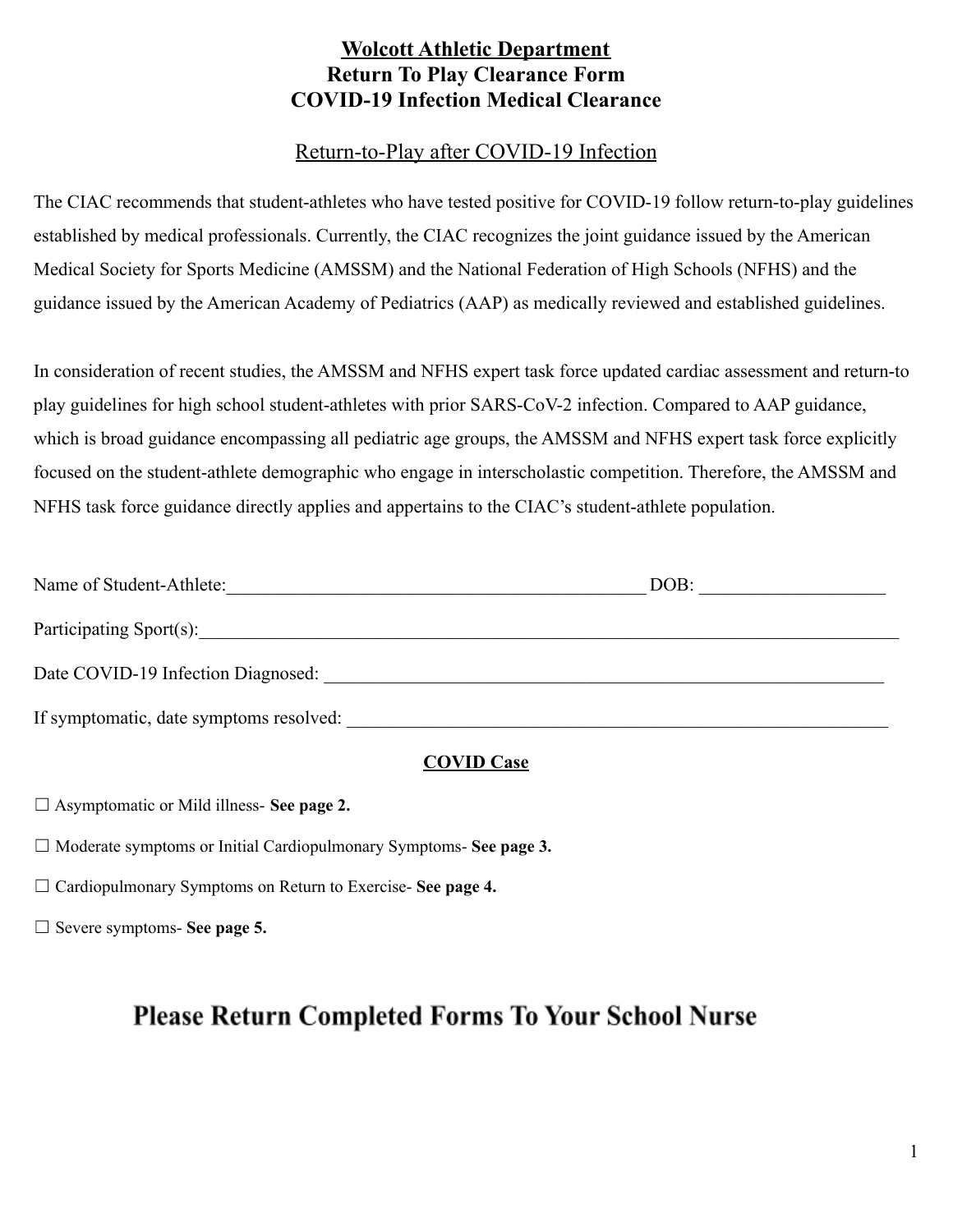# **Wolcott Athletic Department Return To Play Clearance Form COVID-19 Infection Medical Clearance**

## Return-to-Play after COVID-19 Infection

The CIAC recommends that student-athletes who have tested positive for COVID-19 follow return-to-play guidelines established by medical professionals. Currently, the CIAC recognizes the joint guidance issued by the American Medical Society for Sports Medicine (AMSSM) and the National Federation of High Schools (NFHS) and the guidance issued by the American Academy of Pediatrics (AAP) as medically reviewed and established guidelines.

In consideration of recent studies, the AMSSM and NFHS expert task force updated cardiac assessment and return-to play guidelines for high school student-athletes with prior SARS-CoV-2 infection. Compared to AAP guidance, which is broad guidance encompassing all pediatric age groups, the AMSSM and NFHS expert task force explicitly focused on the student-athlete demographic who engage in interscholastic competition. Therefore, the AMSSM and NFHS task force guidance directly applies and appertains to the CIAC's student-athlete population.

| Name of Student-Athlete:                | DOB: |
|-----------------------------------------|------|
| Participating Sport(s):                 |      |
| Date COVID-19 Infection Diagnosed:      |      |
| If symptomatic, date symptoms resolved: |      |

### **COVID Case**

☐ Asymptomatic or Mild illness- **See page 2.**

☐ Moderate symptoms or Initial Cardiopulmonary Symptoms- **See page 3.**

☐ Cardiopulmonary Symptoms on Return to Exercise- **See page 4.**

☐ Severe symptoms- **See page 5.**

# **Please Return Completed Forms To Your School Nurse**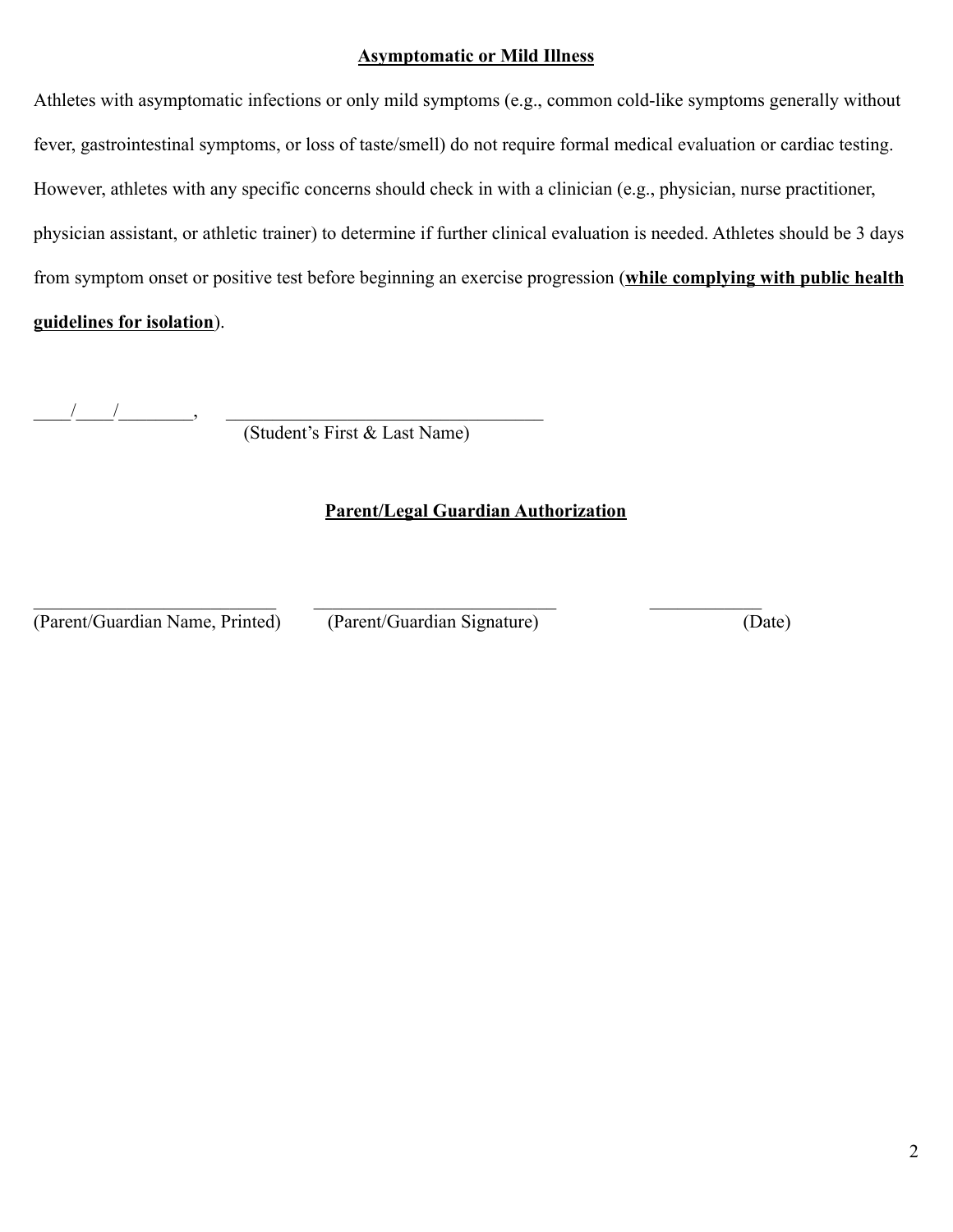#### **Asymptomatic or Mild Illness**

Athletes with asymptomatic infections or only mild symptoms (e.g., common cold-like symptoms generally without fever, gastrointestinal symptoms, or loss of taste/smell) do not require formal medical evaluation or cardiac testing. However, athletes with any specific concerns should check in with a clinician (e.g., physician, nurse practitioner, physician assistant, or athletic trainer) to determine if further clinical evaluation is needed. Athletes should be 3 days from symptom onset or positive test before beginning an exercise progression (**while complying with public health guidelines for isolation**).

 $\frac{\partial f}{\partial x} = \frac{\partial f}{\partial y} = \frac{\partial f}{\partial x}$ 

(Student's First & Last Name)

## **Parent/Legal Guardian Authorization**

(Parent/Guardian Name, Printed) (Parent/Guardian Signature) (Date)

 $\mathcal{L}_\text{max} = \frac{1}{2} \sum_{i=1}^n \mathcal{L}_\text{max}(\mathbf{z}_i - \mathbf{z}_i)$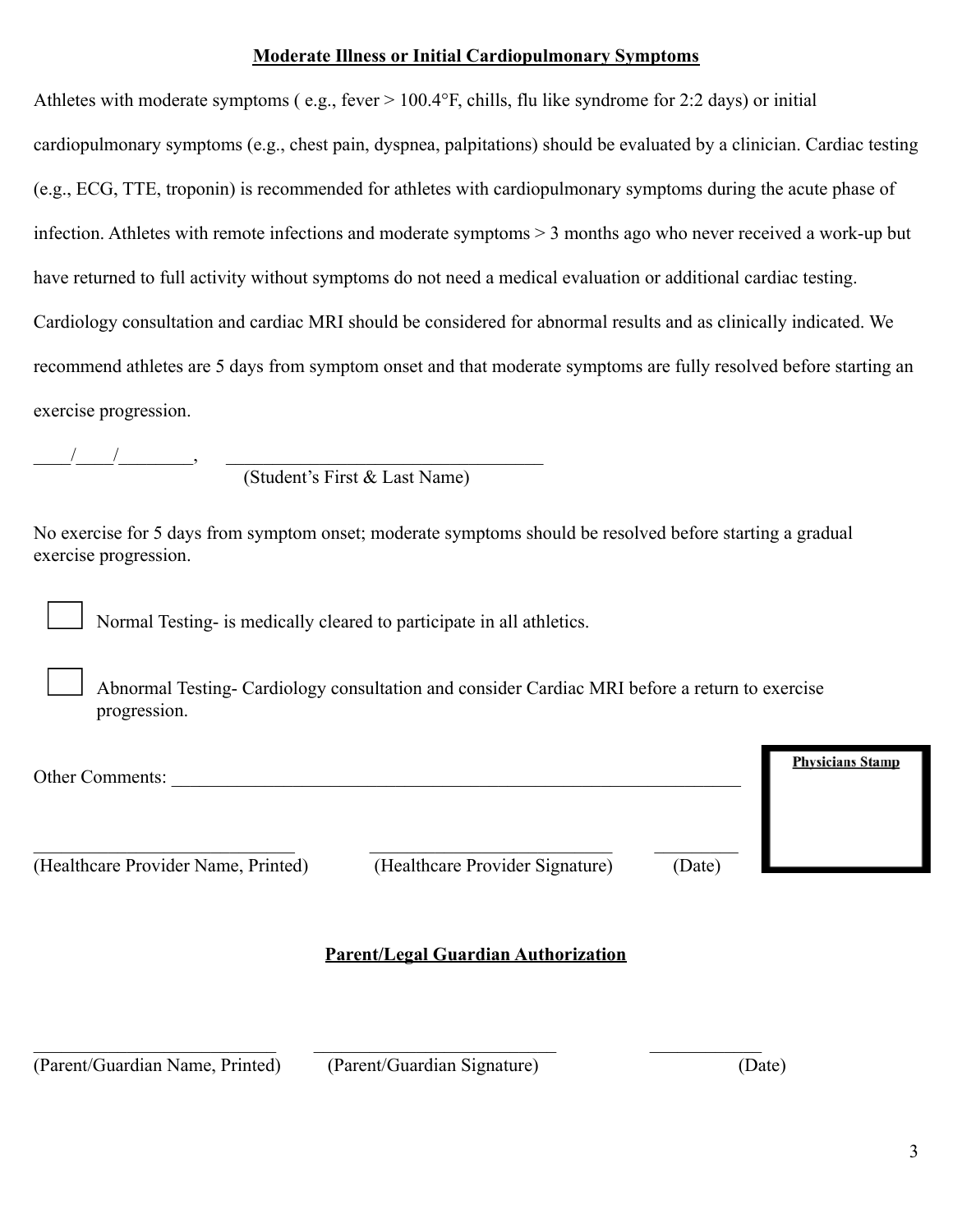### **Moderate Illness or Initial Cardiopulmonary Symptoms**

Athletes with moderate symptoms ( e.g., fever > 100.4°F, chills, flu like syndrome for 2:2 days) or initial cardiopulmonary symptoms (e.g., chest pain, dyspnea, palpitations) should be evaluated by a clinician. Cardiac testing (e.g., ECG, TTE, troponin) is recommended for athletes with cardiopulmonary symptoms during the acute phase of infection. Athletes with remote infections and moderate symptoms > 3 months ago who never received a work-up but have returned to full activity without symptoms do not need a medical evaluation or additional cardiac testing. Cardiology consultation and cardiac MRI should be considered for abnormal results and as clinically indicated. We recommend athletes are 5 days from symptom onset and that moderate symptoms are fully resolved before starting an exercise progression.

 $\frac{1}{2}$  ,  $\frac{1}{2}$  ,  $\frac{1}{2}$  ,  $\frac{1}{2}$  ,  $\frac{1}{2}$  ,  $\frac{1}{2}$  ,  $\frac{1}{2}$  ,  $\frac{1}{2}$  ,  $\frac{1}{2}$  ,  $\frac{1}{2}$  ,  $\frac{1}{2}$  ,  $\frac{1}{2}$  ,  $\frac{1}{2}$  ,  $\frac{1}{2}$  ,  $\frac{1}{2}$  ,  $\frac{1}{2}$  ,  $\frac{1}{2}$  ,  $\frac{1}{2}$  ,  $\frac{1$ 

(Student's First & Last Name)

No exercise for 5 days from symptom onset; moderate symptoms should be resolved before starting a gradual exercise progression.

Normal Testing- is medically cleared to participate in all athletics.

Abnormal Testing- Cardiology consultation and consider Cardiac MRI before a return to exercise progression.

| Other Comments:                     |                                 |        | <b>Physicians Stamp</b> |
|-------------------------------------|---------------------------------|--------|-------------------------|
| (Healthcare Provider Name, Printed) | (Healthcare Provider Signature) | (Date) |                         |
|                                     |                                 |        |                         |

## **Parent/Legal Guardian Authorization**

 $\mathcal{L}_\text{max} = \frac{1}{2} \sum_{i=1}^n \mathcal{L}_\text{max}(\mathbf{z}_i - \mathbf{z}_i)$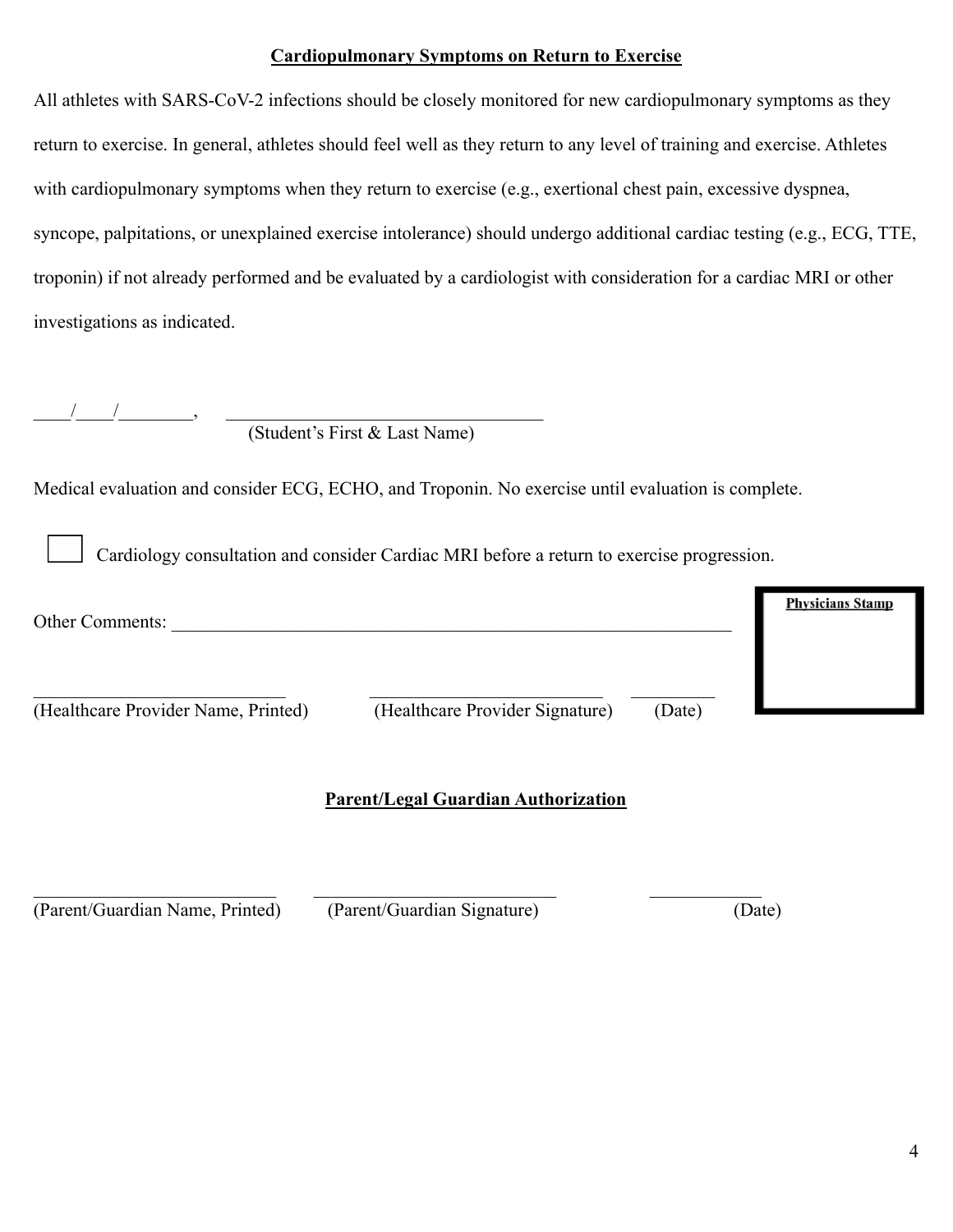#### **Cardiopulmonary Symptoms on Return to Exercise**

All athletes with SARS-CoV-2 infections should be closely monitored for new cardiopulmonary symptoms as they return to exercise. In general, athletes should feel well as they return to any level of training and exercise. Athletes with cardiopulmonary symptoms when they return to exercise (e.g., exertional chest pain, excessive dyspnea, syncope, palpitations, or unexplained exercise intolerance) should undergo additional cardiac testing (e.g., ECG, TTE, troponin) if not already performed and be evaluated by a cardiologist with consideration for a cardiac MRI or other investigations as indicated.

|                                     | (Student's First & Last Name)                                                                      |                         |
|-------------------------------------|----------------------------------------------------------------------------------------------------|-------------------------|
|                                     | Medical evaluation and consider ECG, ECHO, and Troponin. No exercise until evaluation is complete. |                         |
|                                     | Cardiology consultation and consider Cardiac MRI before a return to exercise progression.          |                         |
| Other Comments:                     |                                                                                                    | <b>Physicians Stamp</b> |
| (Healthcare Provider Name, Printed) | (Healthcare Provider Signature)                                                                    | (Date)                  |
|                                     | <b>Parent/Legal Guardian Authorization</b>                                                         |                         |
| (Parent/Guardian Name, Printed)     | (Parent/Guardian Signature)                                                                        | (Date)                  |